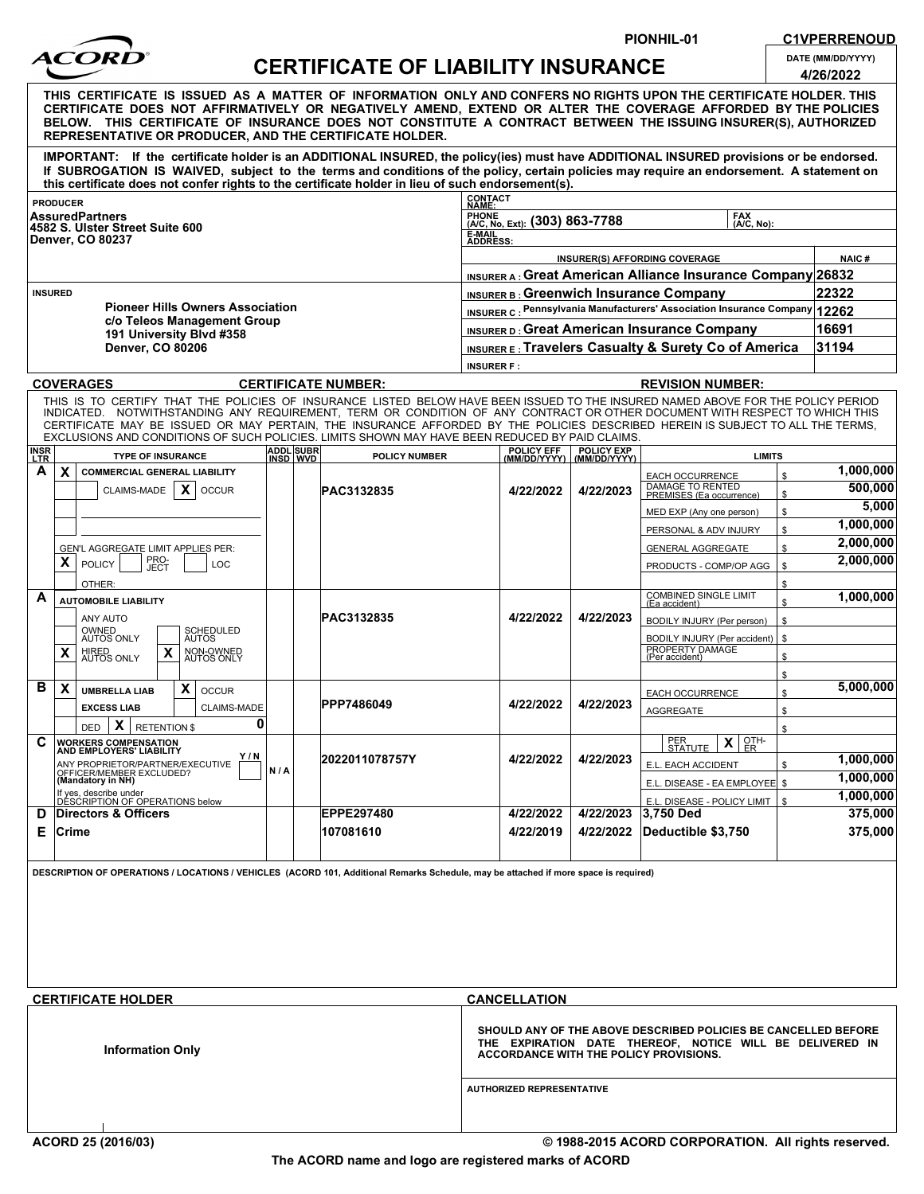

PIONHIL-01 C1VPERRENOUD

| DATE (MM/DD/YYYY) |
|-------------------|
|                   |

| ACORD                                                                                                                                                                                                                                                                                                                                                                                                                            |                                                                                                                                                                    |                           |                                                    |                                     |          |                                          |                                                          |                          |   |  |              |              | <b>CERTIFICATE OF LIABILITY INSURANCE</b> |                                             |                                                                                                                                                                                                                                                                                                                                                                                                                                                                                                    |                                                                            |                        |                                                         |                                                                            |                        | DATE (MM/DD/YYYY)<br>4/26/2022 |  |  |
|----------------------------------------------------------------------------------------------------------------------------------------------------------------------------------------------------------------------------------------------------------------------------------------------------------------------------------------------------------------------------------------------------------------------------------|--------------------------------------------------------------------------------------------------------------------------------------------------------------------|---------------------------|----------------------------------------------------|-------------------------------------|----------|------------------------------------------|----------------------------------------------------------|--------------------------|---|--|--------------|--------------|-------------------------------------------|---------------------------------------------|----------------------------------------------------------------------------------------------------------------------------------------------------------------------------------------------------------------------------------------------------------------------------------------------------------------------------------------------------------------------------------------------------------------------------------------------------------------------------------------------------|----------------------------------------------------------------------------|------------------------|---------------------------------------------------------|----------------------------------------------------------------------------|------------------------|--------------------------------|--|--|
| THIS  CERTIFICATE  IS  ISSUED  AS  A  MATTER  OF  INFORMATION  ONLY AND CONFERS NO RIGHTS UPON THE CERTIFICATE HOLDER. THIS<br>CERTIFICATE DOES NOT AFFIRMATIVELY OR NEGATIVELY AMEND, EXTEND OR ALTER THE COVERAGE AFFORDED BY THE POLICIES<br>BELOW. THIS CERTIFICATE OF INSURANCE DOES NOT CONSTITUTE A CONTRACT BETWEEN THE ISSUING INSURER(S), AUTHORIZED<br><b>REPRESENTATIVE OR PRODUCER, AND THE CERTIFICATE HOLDER.</b> |                                                                                                                                                                    |                           |                                                    |                                     |          |                                          |                                                          |                          |   |  |              |              |                                           |                                             |                                                                                                                                                                                                                                                                                                                                                                                                                                                                                                    |                                                                            |                        |                                                         |                                                                            |                        |                                |  |  |
|                                                                                                                                                                                                                                                                                                                                                                                                                                  |                                                                                                                                                                    |                           |                                                    |                                     |          |                                          |                                                          |                          |   |  |              |              |                                           |                                             | IMPORTANT: If the certificate holder is an ADDITIONAL INSURED, the policy(ies) must have ADDITIONAL INSURED provisions or be endorsed.<br>If SUBROGATION IS WAIVED, subject to the terms and conditions of the policy, certain policies may require an endorsement. A statement on<br>this certificate does not confer rights to the certificate holder in lieu of such endorsement(s).                                                                                                            |                                                                            |                        |                                                         |                                                                            |                        |                                |  |  |
|                                                                                                                                                                                                                                                                                                                                                                                                                                  | <b>PRODUCER</b>                                                                                                                                                    |                           |                                                    |                                     |          |                                          |                                                          |                          |   |  |              |              |                                           |                                             |                                                                                                                                                                                                                                                                                                                                                                                                                                                                                                    | CONTACT<br>NAME:                                                           |                        |                                                         |                                                                            |                        |                                |  |  |
|                                                                                                                                                                                                                                                                                                                                                                                                                                  | <b>AssuredPartners</b><br>4582 S. Ulster Street Suite 600                                                                                                          |                           |                                                    |                                     |          |                                          |                                                          |                          |   |  |              |              |                                           |                                             |                                                                                                                                                                                                                                                                                                                                                                                                                                                                                                    | <b>PHONE</b><br><b>FAX</b><br>(A/C, No, Ext): (303) 863-7788<br>(A/C, No): |                        |                                                         |                                                                            |                        |                                |  |  |
| <b>Denver, CO 80237</b>                                                                                                                                                                                                                                                                                                                                                                                                          |                                                                                                                                                                    |                           |                                                    |                                     |          |                                          |                                                          |                          |   |  |              |              |                                           |                                             |                                                                                                                                                                                                                                                                                                                                                                                                                                                                                                    | E-MAIL<br>ADDRESS:                                                         |                        |                                                         |                                                                            |                        |                                |  |  |
|                                                                                                                                                                                                                                                                                                                                                                                                                                  |                                                                                                                                                                    |                           |                                                    |                                     |          |                                          |                                                          |                          |   |  |              |              |                                           |                                             |                                                                                                                                                                                                                                                                                                                                                                                                                                                                                                    | <b>NAIC#</b><br><b>INSURER(S) AFFORDING COVERAGE</b>                       |                        |                                                         |                                                                            |                        |                                |  |  |
|                                                                                                                                                                                                                                                                                                                                                                                                                                  |                                                                                                                                                                    |                           |                                                    |                                     |          |                                          |                                                          |                          |   |  |              |              |                                           |                                             |                                                                                                                                                                                                                                                                                                                                                                                                                                                                                                    |                                                                            |                        |                                                         | <b>INSURER A: Great American Alliance Insurance Company 26832</b>          |                        |                                |  |  |
| <b>INSURED</b>                                                                                                                                                                                                                                                                                                                                                                                                                   |                                                                                                                                                                    |                           |                                                    |                                     |          |                                          |                                                          |                          |   |  |              |              |                                           |                                             |                                                                                                                                                                                                                                                                                                                                                                                                                                                                                                    |                                                                            |                        |                                                         | INSURER B: Greenwich Insurance Company                                     |                        | 22322                          |  |  |
| <b>Pioneer Hills Owners Association</b><br>c/o Teleos Management Group                                                                                                                                                                                                                                                                                                                                                           |                                                                                                                                                                    |                           |                                                    |                                     |          |                                          |                                                          |                          |   |  |              |              |                                           |                                             |                                                                                                                                                                                                                                                                                                                                                                                                                                                                                                    |                                                                            |                        |                                                         | INSURER C: Pennsylvania Manufacturers' Association Insurance Company 12262 |                        |                                |  |  |
| 191 University Blvd #358                                                                                                                                                                                                                                                                                                                                                                                                         |                                                                                                                                                                    |                           |                                                    |                                     |          |                                          |                                                          |                          |   |  |              |              |                                           | INSURER D: Great American Insurance Company |                                                                                                                                                                                                                                                                                                                                                                                                                                                                                                    |                                                                            |                        |                                                         | 16691                                                                      |                        |                                |  |  |
| <b>Denver, CO 80206</b>                                                                                                                                                                                                                                                                                                                                                                                                          |                                                                                                                                                                    |                           |                                                    |                                     |          |                                          |                                                          |                          |   |  |              |              |                                           |                                             |                                                                                                                                                                                                                                                                                                                                                                                                                                                                                                    |                                                                            |                        |                                                         | INSURER E: Travelers Casualty & Surety Co of America                       |                        | 31194                          |  |  |
|                                                                                                                                                                                                                                                                                                                                                                                                                                  |                                                                                                                                                                    |                           |                                                    |                                     |          |                                          |                                                          |                          |   |  |              |              |                                           |                                             |                                                                                                                                                                                                                                                                                                                                                                                                                                                                                                    | <b>INSURER F:</b>                                                          |                        |                                                         |                                                                            |                        |                                |  |  |
|                                                                                                                                                                                                                                                                                                                                                                                                                                  | <b>COVERAGES</b>                                                                                                                                                   |                           |                                                    |                                     |          |                                          |                                                          |                          |   |  |              |              |                                           |                                             | <b>CERTIFICATE NUMBER:</b>                                                                                                                                                                                                                                                                                                                                                                                                                                                                         |                                                                            |                        |                                                         | <b>REVISION NUMBER:</b>                                                    |                        |                                |  |  |
|                                                                                                                                                                                                                                                                                                                                                                                                                                  |                                                                                                                                                                    |                           |                                                    |                                     |          |                                          |                                                          |                          |   |  |              |              |                                           |                                             | THIS IS TO CERTIFY THAT THE POLICIES OF INSURANCE LISTED BELOW HAVE BEEN ISSUED TO THE INSURED NAMED ABOVE FOR THE POLICY PERIOD<br>INDICATED. NOTWITHSTANDING ANY REQUIREMENT, TERM OR CONDITION OF ANY CONTRACT OR OTHER DOCUMENT WITH RESPECT TO WHICH THIS<br>CERTIFICATE MAY BE ISSUED OR MAY PERTAIN, THE INSURANCE AFFORDED BY THE POLICIES DESCRIBED HEREIN IS SUBJECT TO ALL THE TERMS,<br>EXCLUSIONS AND CONDITIONS OF SUCH POLICIES. LIMITS SHOWN MAY HAVE BEEN REDUCED BY PAID CLAIMS. |                                                                            |                        |                                                         |                                                                            |                        |                                |  |  |
| <b>INSR</b><br>LTR                                                                                                                                                                                                                                                                                                                                                                                                               |                                                                                                                                                                    |                           |                                                    |                                     |          |                                          |                                                          | <b>TYPE OF INSURANCE</b> |   |  |              |              | <b>ADDL SUBR</b>                          | INSD WVD                                    | <b>POLICY NUMBER</b>                                                                                                                                                                                                                                                                                                                                                                                                                                                                               |                                                                            | POLICY EFF             | <b>POLICY EXP</b><br><u>(MM/DD/YYYY)   (MM/DD/YYYY)</u> |                                                                            | <b>LIMITS</b>          | 1,000,000                      |  |  |
| A                                                                                                                                                                                                                                                                                                                                                                                                                                |                                                                                                                                                                    | X                         |                                                    | <b>COMMERCIAL GENERAL LIABILITY</b> |          |                                          |                                                          |                          |   |  |              |              |                                           |                                             |                                                                                                                                                                                                                                                                                                                                                                                                                                                                                                    |                                                                            | <b>EACH OCCURRENCE</b> | \$                                                      |                                                                            |                        |                                |  |  |
|                                                                                                                                                                                                                                                                                                                                                                                                                                  |                                                                                                                                                                    |                           |                                                    |                                     |          |                                          | $\boldsymbol{\mathsf{x}}$<br>CLAIMS-MADE<br><b>OCCUR</b> |                          |   |  |              |              |                                           |                                             | PAC3132835                                                                                                                                                                                                                                                                                                                                                                                                                                                                                         |                                                                            | 4/22/2022              | 4/22/2023                                               | DAMAGE TO RENTED<br>PREMISES (Ea occurrence)                               | \$                     | 500,000                        |  |  |
|                                                                                                                                                                                                                                                                                                                                                                                                                                  |                                                                                                                                                                    |                           |                                                    |                                     |          |                                          |                                                          |                          |   |  |              |              |                                           |                                             |                                                                                                                                                                                                                                                                                                                                                                                                                                                                                                    |                                                                            |                        | MED EXP (Any one person)                                | \$                                                                         | 5,000                  |                                |  |  |
|                                                                                                                                                                                                                                                                                                                                                                                                                                  |                                                                                                                                                                    |                           |                                                    |                                     |          |                                          |                                                          |                          |   |  |              |              |                                           |                                             |                                                                                                                                                                                                                                                                                                                                                                                                                                                                                                    |                                                                            |                        |                                                         | PERSONAL & ADV INJURY                                                      | \$                     | 1,000,000                      |  |  |
|                                                                                                                                                                                                                                                                                                                                                                                                                                  |                                                                                                                                                                    |                           | GEN'L AGGREGATE LIMIT APPLIES PER:<br>PRO-<br>JECT |                                     |          |                                          |                                                          |                          |   |  |              |              |                                           |                                             |                                                                                                                                                                                                                                                                                                                                                                                                                                                                                                    |                                                                            |                        | <b>GENERAL AGGREGATE</b>                                | \$                                                                         | 2,000,000<br>2,000,000 |                                |  |  |
|                                                                                                                                                                                                                                                                                                                                                                                                                                  |                                                                                                                                                                    | X                         | <b>POLICY</b><br>OTHER:                            |                                     |          |                                          |                                                          |                          |   |  | LOC          |              |                                           |                                             |                                                                                                                                                                                                                                                                                                                                                                                                                                                                                                    |                                                                            |                        |                                                         | PRODUCTS - COMP/OP AGG                                                     | \$<br>\$               |                                |  |  |
| A                                                                                                                                                                                                                                                                                                                                                                                                                                |                                                                                                                                                                    |                           |                                                    |                                     |          |                                          | <b>AUTOMOBILE LIABILITY</b>                              |                          |   |  |              |              |                                           |                                             |                                                                                                                                                                                                                                                                                                                                                                                                                                                                                                    |                                                                            |                        | 4/22/2023                                               | <b>COMBINED SINGLE LIMIT</b><br>(Ea accident)                              | \$                     | 1,000,000                      |  |  |
|                                                                                                                                                                                                                                                                                                                                                                                                                                  |                                                                                                                                                                    |                           |                                                    |                                     | ANY AUTO |                                          |                                                          |                          |   |  |              |              |                                           |                                             | PAC3132835                                                                                                                                                                                                                                                                                                                                                                                                                                                                                         |                                                                            | 4/22/2022              |                                                         | BODILY INJURY (Per person)                                                 | \$                     |                                |  |  |
| OWNED<br>SCHEDULED<br>AUTOS<br><b>AUTOS ONLY</b><br>$\pmb{\chi}$<br>$\boldsymbol{\mathsf{x}}$<br>HIRED<br>AUTOS ONLY<br>NON-OWNED<br>AUTOS ONLY                                                                                                                                                                                                                                                                                  |                                                                                                                                                                    |                           |                                                    |                                     |          |                                          |                                                          |                          |   |  |              |              |                                           |                                             | BODILY INJURY (Per accident)<br>PROPERTY DAMAGE<br>(Per accident)                                                                                                                                                                                                                                                                                                                                                                                                                                  | \$<br>\$                                                                   |                        |                                                         |                                                                            |                        |                                |  |  |
|                                                                                                                                                                                                                                                                                                                                                                                                                                  |                                                                                                                                                                    |                           |                                                    |                                     |          |                                          |                                                          |                          |   |  |              |              |                                           |                                             |                                                                                                                                                                                                                                                                                                                                                                                                                                                                                                    |                                                                            |                        |                                                         |                                                                            | \$                     |                                |  |  |
| в                                                                                                                                                                                                                                                                                                                                                                                                                                |                                                                                                                                                                    | $\boldsymbol{\mathsf{x}}$ |                                                    |                                     |          |                                          | <b>UMBRELLA LIAB</b>                                     |                          | X |  | <b>OCCUR</b> |              |                                           |                                             |                                                                                                                                                                                                                                                                                                                                                                                                                                                                                                    |                                                                            | 4/22/2022              |                                                         | EACH OCCURRENCE                                                            | \$                     | 5,000,000                      |  |  |
|                                                                                                                                                                                                                                                                                                                                                                                                                                  |                                                                                                                                                                    |                           |                                                    |                                     |          | <b>EXCESS LIAB</b><br><b>CLAIMS-MADE</b> |                                                          |                          |   |  |              |              |                                           |                                             | PPP7486049                                                                                                                                                                                                                                                                                                                                                                                                                                                                                         |                                                                            |                        | 4/22/2023                                               | <b>AGGREGATE</b>                                                           | \$                     |                                |  |  |
| С                                                                                                                                                                                                                                                                                                                                                                                                                                |                                                                                                                                                                    |                           | DED                                                |                                     |          | $\mathsf{x}$                             |                                                          | <b>RETENTION \$</b>      |   |  |              | $\mathbf{0}$ |                                           |                                             |                                                                                                                                                                                                                                                                                                                                                                                                                                                                                                    |                                                                            |                        |                                                         | PER<br>OTH-                                                                | \$                     |                                |  |  |
|                                                                                                                                                                                                                                                                                                                                                                                                                                  | <b>WORKERS COMPENSATION</b><br><b>AND EMPLOYERS' LIABILITY</b><br>Y/N<br>ANY PROPRIETOR/PARTNER/EXECUTIVE<br>OFFICER/MEMBER EXCLUDED?<br>( <b>Mandatory in NH)</b> |                           |                                                    |                                     |          |                                          |                                                          |                          |   |  |              |              |                                           |                                             | 2022011078757Y                                                                                                                                                                                                                                                                                                                                                                                                                                                                                     |                                                                            | 4/22/2022              | 4/22/2023                                               | X<br><b>STATUTE</b><br>ER                                                  |                        | 1,000,000                      |  |  |
|                                                                                                                                                                                                                                                                                                                                                                                                                                  |                                                                                                                                                                    |                           |                                                    |                                     |          |                                          |                                                          |                          |   |  |              |              | N/A                                       |                                             |                                                                                                                                                                                                                                                                                                                                                                                                                                                                                                    |                                                                            |                        |                                                         | E.L. EACH ACCIDENT                                                         | \$                     | 1,000,000                      |  |  |
| If yes, describe under                                                                                                                                                                                                                                                                                                                                                                                                           |                                                                                                                                                                    |                           |                                                    |                                     |          |                                          |                                                          |                          |   |  |              |              |                                           | E.L. DISEASE - EA EMPLOYEE \$               |                                                                                                                                                                                                                                                                                                                                                                                                                                                                                                    | 1,000,000                                                                  |                        |                                                         |                                                                            |                        |                                |  |  |
| DÉSCRIPTION OF OPERATIONS below<br><b>Directors &amp; Officers</b><br>D                                                                                                                                                                                                                                                                                                                                                          |                                                                                                                                                                    |                           |                                                    |                                     |          |                                          |                                                          |                          |   |  |              |              |                                           |                                             | EPPE297480                                                                                                                                                                                                                                                                                                                                                                                                                                                                                         |                                                                            | 4/22/2022              | 4/22/2023                                               | E.L. DISEASE - POLICY LIMIT<br>3,750 Ded                                   | \$                     | 375,000                        |  |  |
| ∣Crime<br>Е                                                                                                                                                                                                                                                                                                                                                                                                                      |                                                                                                                                                                    |                           |                                                    |                                     |          |                                          |                                                          |                          |   |  |              |              | 107081610                                 |                                             | 4/22/2019                                                                                                                                                                                                                                                                                                                                                                                                                                                                                          | 4/22/2022                                                                  | Deductible \$3,750     |                                                         | 375,000                                                                    |                        |                                |  |  |
|                                                                                                                                                                                                                                                                                                                                                                                                                                  |                                                                                                                                                                    |                           |                                                    |                                     |          |                                          |                                                          |                          |   |  |              |              |                                           |                                             | DESCRIPTION OF OPERATIONS / LOCATIONS / VEHICLES (ACORD 101, Additional Remarks Schedule, may be attached if more space is required)                                                                                                                                                                                                                                                                                                                                                               |                                                                            |                        |                                                         |                                                                            |                        |                                |  |  |

| <b>CERTIFICATE HOLDER</b> | <b>CANCELLATION</b>                                                                                                                                                  |
|---------------------------|----------------------------------------------------------------------------------------------------------------------------------------------------------------------|
| <b>Information Only</b>   | SHOULD ANY OF THE ABOVE DESCRIBED POLICIES BE CANCELLED BEFORE<br>THE EXPIRATION DATE THEREOF, NOTICE WILL BE DELIVERED IN<br>ACCORDANCE WITH THE POLICY PROVISIONS. |
|                           | <b>AUTHORIZED REPRESENTATIVE</b>                                                                                                                                     |
|                           |                                                                                                                                                                      |